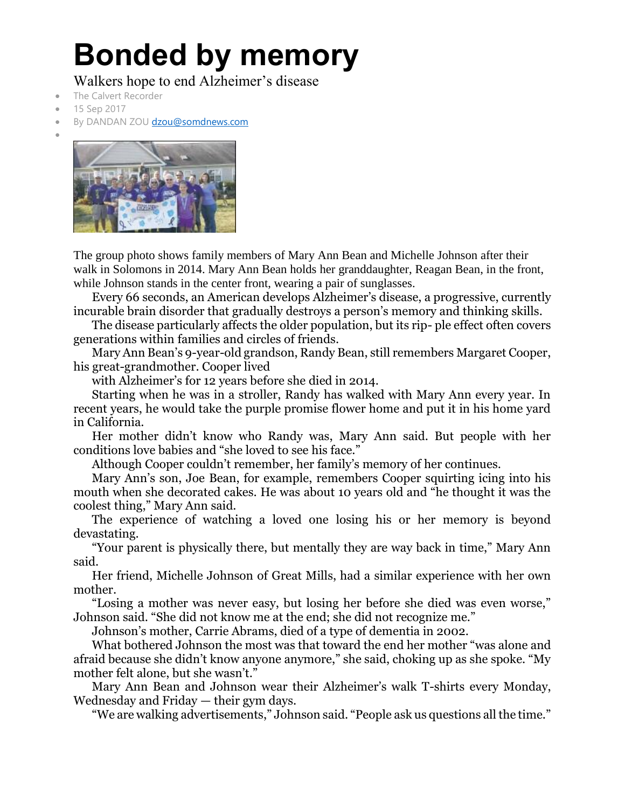## **Bonded by memory**

Walkers hope to end Alzheimer's disease

- The Calvert Recorder
- 15 Sep 2017
- By DANDAN ZO[U dzou@somdnews.com](mailto:dzou@somdnews.com)
- •



The group photo shows family members of Mary Ann Bean and Michelle Johnson after their walk in Solomons in 2014. Mary Ann Bean holds her granddaughter, Reagan Bean, in the front, while Johnson stands in the center front, wearing a pair of sunglasses.

Every 66 seconds, an American develops Alzheimer's disease, a progressive, currently incurable brain disorder that gradually destroys a person's memory and thinking skills.

The disease particularly affects the older population, but its rip- ple effect often covers generations within families and circles of friends.

Mary Ann Bean's 9-year-old grandson, Randy Bean, still remembers Margaret Cooper, his great-grandmother. Cooper lived

with Alzheimer's for 12 years before she died in 2014.

Starting when he was in a stroller, Randy has walked with Mary Ann every year. In recent years, he would take the purple promise flower home and put it in his home yard in California.

Her mother didn't know who Randy was, Mary Ann said. But people with her conditions love babies and "she loved to see his face."

Although Cooper couldn't remember, her family's memory of her continues.

Mary Ann's son, Joe Bean, for example, remembers Cooper squirting icing into his mouth when she decorated cakes. He was about 10 years old and "he thought it was the coolest thing," Mary Ann said.

The experience of watching a loved one losing his or her memory is beyond devastating.

"Your parent is physically there, but mentally they are way back in time," Mary Ann said.

Her friend, Michelle Johnson of Great Mills, had a similar experience with her own mother.

"Losing a mother was never easy, but losing her before she died was even worse," Johnson said. "She did not know me at the end; she did not recognize me."

Johnson's mother, Carrie Abrams, died of a type of dementia in 2002.

What bothered Johnson the most was that toward the end her mother "was alone and afraid because she didn't know anyone anymore," she said, choking up as she spoke. "My mother felt alone, but she wasn't."

Mary Ann Bean and Johnson wear their Alzheimer's walk T-shirts every Monday, Wednesday and Friday — their gym days.

"We are walking advertisements," Johnson said. "People ask us questions all the time."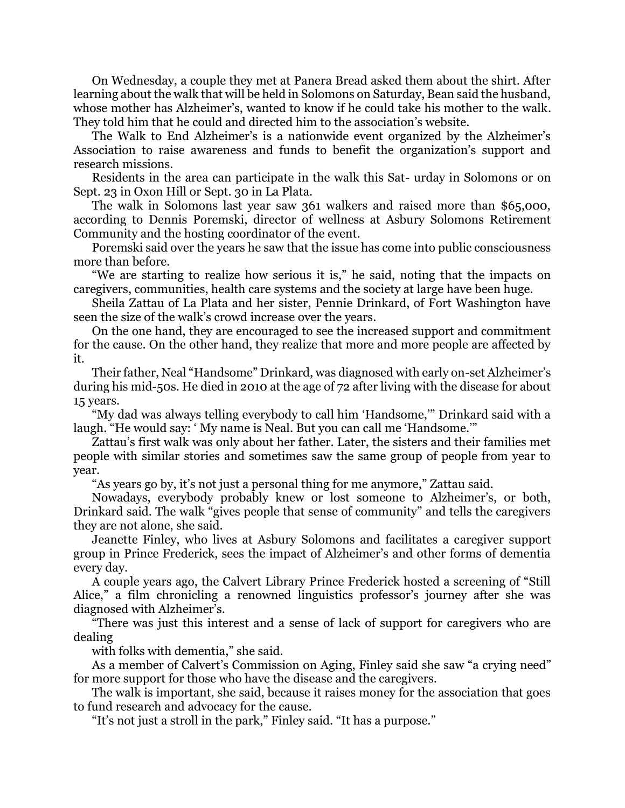On Wednesday, a couple they met at Panera Bread asked them about the shirt. After learning about the walk that will be held in Solomons on Saturday, Bean said the husband, whose mother has Alzheimer's, wanted to know if he could take his mother to the walk. They told him that he could and directed him to the association's website.

The Walk to End Alzheimer's is a nationwide event organized by the Alzheimer's Association to raise awareness and funds to benefit the organization's support and research missions.

Residents in the area can participate in the walk this Sat- urday in Solomons or on Sept. 23 in Oxon Hill or Sept. 30 in La Plata.

The walk in Solomons last year saw 361 walkers and raised more than \$65,000, according to Dennis Poremski, director of wellness at Asbury Solomons Retirement Community and the hosting coordinator of the event.

Poremski said over the years he saw that the issue has come into public consciousness more than before.

"We are starting to realize how serious it is," he said, noting that the impacts on caregivers, communities, health care systems and the society at large have been huge.

Sheila Zattau of La Plata and her sister, Pennie Drinkard, of Fort Washington have seen the size of the walk's crowd increase over the years.

On the one hand, they are encouraged to see the increased support and commitment for the cause. On the other hand, they realize that more and more people are affected by it.

Their father, Neal "Handsome" Drinkard, was diagnosed with early on-set Alzheimer's during his mid-50s. He died in 2010 at the age of 72 after living with the disease for about 15 years.

"My dad was always telling everybody to call him 'Handsome,'" Drinkard said with a laugh. "He would say: ' My name is Neal. But you can call me 'Handsome.'"

Zattau's first walk was only about her father. Later, the sisters and their families met people with similar stories and sometimes saw the same group of people from year to year.

"As years go by, it's not just a personal thing for me anymore," Zattau said.

Nowadays, everybody probably knew or lost someone to Alzheimer's, or both, Drinkard said. The walk "gives people that sense of community" and tells the caregivers they are not alone, she said.

Jeanette Finley, who lives at Asbury Solomons and facilitates a caregiver support group in Prince Frederick, sees the impact of Alzheimer's and other forms of dementia every day.

A couple years ago, the Calvert Library Prince Frederick hosted a screening of "Still Alice," a film chronicling a renowned linguistics professor's journey after she was diagnosed with Alzheimer's.

"There was just this interest and a sense of lack of support for caregivers who are dealing

with folks with dementia," she said.

As a member of Calvert's Commission on Aging, Finley said she saw "a crying need" for more support for those who have the disease and the caregivers.

The walk is important, she said, because it raises money for the association that goes to fund research and advocacy for the cause.

"It's not just a stroll in the park," Finley said. "It has a purpose."